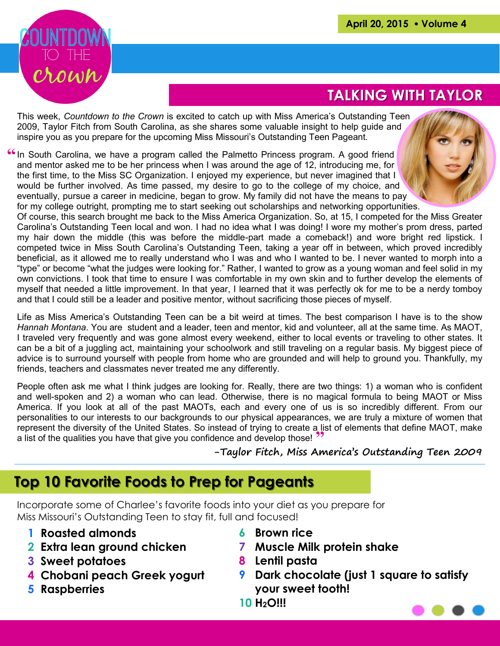

## **TALKING WITH TAYLOR**

This week, *Countdown to the Crown* is excited to catch up with Miss America's Outstanding Teen 2009, Taylor Fitch from South Carolina, as she shares some valuable insight to help guide and inspire you as you prepare for the upcoming Miss Missouri's Outstanding Teen Pageant.

<sup>66</sup> In South Carolina, we have a program called the Palmetto Princess program. A good friend and mentor asked me to be her princess when I was around the age of 12, introducing me, for the first time, to the Miss SC Organization. I enjoyed my experience, but never imagined that I would be further involved. As time passed, my desire to go to the college of my choice, and eventually, pursue a career in medicine, began to grow. My family did not have the means to pay for my college outright, prompting me to start seeking out scholarships and networking opportunities.



Of course, this search brought me back to the Miss America Organization. So, at 15, I competed for the Miss Greater Carolina's Outstanding Teen local and won. I had no idea what I was doing! I wore my mother's prom dress, parted my hair down the middle (this was before the middle-part made a comeback!) and wore bright red lipstick. I competed twice in Miss South Carolina's Outstanding Teen, taking a year off in between, which proved incredibly beneficial, as it allowed me to really understand who I was and who I wanted to be. I never wanted to morph into a "type" or become "what the judges were looking for." Rather, I wanted to grow as a young woman and feel solid in my own convictions. I took that time to ensure I was comfortable in my own skin and to further develop the elements of myself that needed a little improvement. In that year, I learned that it was perfectly ok for me to be a nerdy tomboy and that I could still be a leader and positive mentor, without sacrificing those pieces of myself.

Life as Miss America's Outstanding Teen can be a bit weird at times. The best comparison I have is to the show *Hannah Montana*. You are student and a leader, teen and mentor, kid and volunteer, all at the same time. As MAOT, I traveled very frequently and was gone almost every weekend, either to local events or traveling to other states. It can be a bit of a juggling act, maintaining your schoolwork and still traveling on a regular basis. My biggest piece of advice is to surround yourself with people from home who are grounded and will help to ground you. Thankfully, my friends, teachers and classmates never treated me any differently.

a list of the qualities you have that give you confidence and develop those! People often ask me what I think judges are looking for. Really, there are two things: 1) a woman who is confident and well-spoken and 2) a woman who can lead. Otherwise, there is no magical formula to being MAOT or Miss America. If you look at all of the past MAOTs, each and every one of us is so incredibly different. From our personalities to our interests to our backgrounds to our physical appearances, we are truly a mixture of women that represent the diversity of the United States. So instead of trying to create a list of elements that define MAOT, make

**-Taylor Fitch, Miss America's Outstanding Teen 2009**

### **Top 10 Favorite Foods to Prep for Pageants**

Incorporate some of Charlee's favorite foods into your diet as you prepare for Miss Missouri's Outstanding Teen to stay fit, full and focused!

- **1 Roasted almonds**
- **2 Extra lean ground chicken**
- **3 Sweet potatoes**
- **4 Chobani peach Greek yogurt**
- **5 Raspberries**
- **6 Brown rice**
- **7 Muscle Milk protein shake**
- **8 Lentil pasta**
- **9 Dark chocolate (just 1 square to satisfy your sweet tooth!**
- **10 H2O!!!**